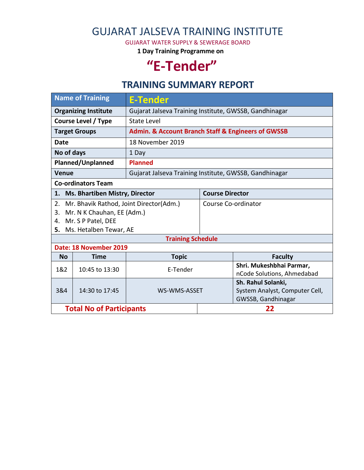## GUJARAT JALSEVA TRAINING INSTITUTE

GUJARAT WATER SUPPLY & SEWERAGE BOARD

**1 Day Training Programme on**

# **"E-Tender"**

### **TRAINING SUMMARY REPORT**

| <b>Name of Training</b>                       | <b>E-Tender</b>                                        |                                                                   |                                                      |  |  |  |
|-----------------------------------------------|--------------------------------------------------------|-------------------------------------------------------------------|------------------------------------------------------|--|--|--|
| <b>Organizing Institute</b>                   | Gujarat Jalseva Training Institute, GWSSB, Gandhinagar |                                                                   |                                                      |  |  |  |
| <b>Course Level / Type</b>                    | State Level                                            |                                                                   |                                                      |  |  |  |
| <b>Target Groups</b>                          |                                                        | <b>Admin. &amp; Account Branch Staff &amp; Engineers of GWSSB</b> |                                                      |  |  |  |
| Date                                          | 18 November 2019                                       |                                                                   |                                                      |  |  |  |
| No of days                                    | 1 Day                                                  |                                                                   |                                                      |  |  |  |
| Planned/Unplanned                             | <b>Planned</b>                                         |                                                                   |                                                      |  |  |  |
| <b>Venue</b>                                  | Gujarat Jalseva Training Institute, GWSSB, Gandhinagar |                                                                   |                                                      |  |  |  |
| <b>Co-ordinators Team</b>                     |                                                        |                                                                   |                                                      |  |  |  |
| Ms. Bhartiben Mistry, Director<br>1.          |                                                        | <b>Course Director</b>                                            |                                                      |  |  |  |
| Mr. Bhavik Rathod, Joint Director(Adm.)<br>2. |                                                        | Course Co-ordinator                                               |                                                      |  |  |  |
| Mr. N K Chauhan, EE (Adm.)<br>3.              |                                                        |                                                                   |                                                      |  |  |  |
| Mr. S P Patel, DEE<br>4.                      |                                                        |                                                                   |                                                      |  |  |  |
| Ms. Hetalben Tewar, AE<br>5.                  |                                                        |                                                                   |                                                      |  |  |  |
| <b>Training Schedule</b>                      |                                                        |                                                                   |                                                      |  |  |  |
| Date: 18 November 2019                        |                                                        |                                                                   |                                                      |  |  |  |
| <b>No</b><br><b>Time</b>                      | <b>Topic</b>                                           |                                                                   | <b>Faculty</b>                                       |  |  |  |
| 1&2<br>10:45 to 13:30                         | E-Tender                                               |                                                                   | Shri. Mukeshbhai Parmar,                             |  |  |  |
|                                               |                                                        |                                                                   | nCode Solutions, Ahmedabad                           |  |  |  |
|                                               |                                                        |                                                                   | Sh. Rahul Solanki,                                   |  |  |  |
| 3&4<br>14:30 to 17:45                         | WS-WMS-ASSET                                           |                                                                   | System Analyst, Computer Cell,<br>GWSSB, Gandhinagar |  |  |  |
| <b>Total No of Participants</b>               |                                                        | 22                                                                |                                                      |  |  |  |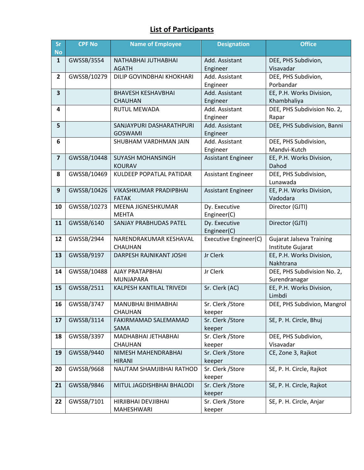#### **List of Participants**

| Sr<br><b>No</b>         | <b>CPF No</b> | <b>Name of Employee</b>                | <b>Designation</b>        | <b>Office</b>                        |
|-------------------------|---------------|----------------------------------------|---------------------------|--------------------------------------|
| $\mathbf{1}$            | GWSSB/3554    | NATHABHAI JUTHABHAI                    | Add. Assistant            | DEE, PHS Subdivion,                  |
|                         |               | <b>AGATH</b>                           | Engineer                  | Visavadar                            |
| $\mathbf{2}$            | GWSSB/10279   | DILIP GOVINDBHAI KHOKHARI              | Add. Assistant            | DEE, PHS Subdivion,                  |
|                         |               |                                        | Engineer                  | Porbandar                            |
| $\overline{\mathbf{3}}$ |               | <b>BHAVESH KESHAVBHAI</b>              | Add. Assistant            | EE, P.H. Works Division,             |
|                         |               | <b>CHAUHAN</b>                         | Engineer                  | Khambhaliya                          |
| 4                       |               | <b>RUTUL MEWADA</b>                    | Add. Assistant            | DEE, PHS Subdivision No. 2,          |
|                         |               |                                        | Engineer                  | Rapar                                |
| 5                       |               | SANJAYPURI DASHARATHPURI               | Add. Assistant            | DEE, PHS Subdivision, Banni          |
|                         |               | <b>GOSWAMI</b>                         | Engineer                  |                                      |
| 6                       |               | SHUBHAM VARDHMAN JAIN                  | Add. Assistant            | DEE, PHS Subdivision,                |
|                         |               |                                        | Engineer                  | Mandvi-Kutch                         |
| $\overline{\mathbf{z}}$ | GWSSB/10448   | <b>SUYASH MOHANSINGH</b>               | <b>Assistant Engineer</b> | EE, P.H. Works Division,             |
|                         |               | <b>KOURAV</b>                          |                           | Dahod                                |
| 8                       | GWSSB/10469   | KULDEEP POPATLAL PATIDAR               | Assistant Engineer        | DEE, PHS Subdivision,                |
|                         |               |                                        |                           | Lunawada                             |
| 9                       | GWSSB/10426   | VIKASHKUMAR PRADIPBHAI<br><b>FATAK</b> | <b>Assistant Engineer</b> | EE, P.H. Works Division,<br>Vadodara |
| 10                      | GWSSB/10273   | MEENA JIGNESHKUMAR                     | Dy. Executive             | Director (GJTI)                      |
|                         |               | <b>MEHTA</b>                           | Engineer(C)               |                                      |
| 11                      | GWSSB/6140    | SANJAY PRABHUDAS PATEL                 | Dy. Executive             | Director (GJTI)                      |
|                         |               |                                        | Engineer(C)               |                                      |
| 12                      | GWSSB/2944    | NARENDRAKUMAR KESHAVAL                 | Executive Engineer(C)     | <b>Gujarat Jalseva Training</b>      |
|                         |               | <b>CHAUHAN</b>                         |                           | Institute Gujarat                    |
| 13                      | GWSSB/9197    | DARPESH RAJNIKANT JOSHI                | Jr Clerk                  | EE, P.H. Works Division,             |
|                         |               |                                        |                           | Nakhtrana                            |
| 14                      | GWSSB/10488   | AJAY PRATAPBHAI                        | Jr Clerk                  | DEE, PHS Subdivision No. 2,          |
|                         |               | MUNJAPARA                              |                           | Surendranagar                        |
| 15                      | GWSSB/2511    | KALPESH KANTILAL TRIVEDI               | Sr. Clerk (AC)            | EE, P.H. Works Division,             |
|                         |               |                                        |                           | Limbdi                               |
| 16                      | GWSSB/3747    | MANUBHAI BHIMABHAI                     | Sr. Clerk / Store         | DEE, PHS Subdivion, Mangrol          |
|                         |               | CHAUHAN                                | keeper                    |                                      |
| 17                      | GWSSB/3114    | FAKIRMAMAD SALEMAMAD                   | Sr. Clerk / Store         | SE, P. H. Circle, Bhuj               |
|                         |               | SAMA                                   | keeper                    |                                      |
| 18                      | GWSSB/3397    | MADHABHAI JETHABHAI                    | Sr. Clerk / Store         | DEE, PHS Subdivion,                  |
|                         |               | CHAUHAN                                | keeper                    | Visavadar                            |
| 19                      | GWSSB/9440    | NIMESH MAHENDRABHAI                    | Sr. Clerk / Store         | CE, Zone 3, Rajkot                   |
|                         |               | <b>HIRANI</b>                          | keeper                    |                                      |
| 20                      | GWSSB/9668    | NAUTAM SHAMJIBHAI RATHOD               | Sr. Clerk / Store         | SE, P. H. Circle, Rajkot             |
|                         |               |                                        | keeper                    |                                      |
| 21                      | GWSSB/9846    | MITUL JAGDISHBHAI BHALODI              | Sr. Clerk / Store         | SE, P. H. Circle, Rajkot             |
|                         |               |                                        | keeper                    |                                      |
| 22                      | GWSSB/7101    | HIRJIBHAI DEVJIBHAI<br>MAHESHWARI      | Sr. Clerk / Store         | SE, P. H. Circle, Anjar              |
|                         |               |                                        | keeper                    |                                      |